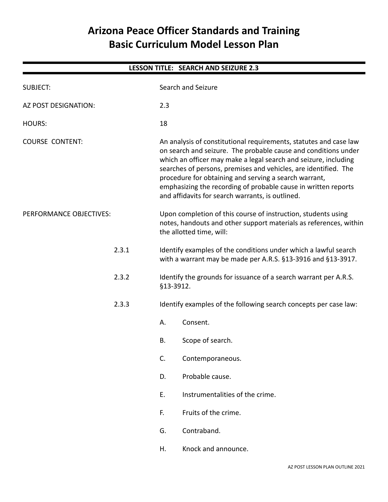# **Arizona Peace Officer Standards and Training Basic Curriculum Model Lesson Plan**

| LESSON TITLE: SEARCH AND SEIZURE 2.3 |       |                                                                                                                                                                                                                                                                                                                                                                                                                                                          |                                                                                                                                 |
|--------------------------------------|-------|----------------------------------------------------------------------------------------------------------------------------------------------------------------------------------------------------------------------------------------------------------------------------------------------------------------------------------------------------------------------------------------------------------------------------------------------------------|---------------------------------------------------------------------------------------------------------------------------------|
| <b>SUBJECT:</b>                      |       |                                                                                                                                                                                                                                                                                                                                                                                                                                                          | Search and Seizure                                                                                                              |
| AZ POST DESIGNATION:                 |       | 2.3                                                                                                                                                                                                                                                                                                                                                                                                                                                      |                                                                                                                                 |
| <b>HOURS:</b>                        |       | 18                                                                                                                                                                                                                                                                                                                                                                                                                                                       |                                                                                                                                 |
| <b>COURSE CONTENT:</b>               |       | An analysis of constitutional requirements, statutes and case law<br>on search and seizure. The probable cause and conditions under<br>which an officer may make a legal search and seizure, including<br>searches of persons, premises and vehicles, are identified. The<br>procedure for obtaining and serving a search warrant,<br>emphasizing the recording of probable cause in written reports<br>and affidavits for search warrants, is outlined. |                                                                                                                                 |
| PERFORMANCE OBJECTIVES:              |       | Upon completion of this course of instruction, students using<br>notes, handouts and other support materials as references, within<br>the allotted time, will:                                                                                                                                                                                                                                                                                           |                                                                                                                                 |
|                                      | 2.3.1 |                                                                                                                                                                                                                                                                                                                                                                                                                                                          | Identify examples of the conditions under which a lawful search<br>with a warrant may be made per A.R.S. §13-3916 and §13-3917. |
|                                      | 2.3.2 | §13-3912.                                                                                                                                                                                                                                                                                                                                                                                                                                                | Identify the grounds for issuance of a search warrant per A.R.S.                                                                |
|                                      | 2.3.3 |                                                                                                                                                                                                                                                                                                                                                                                                                                                          | Identify examples of the following search concepts per case law:                                                                |
|                                      |       | А.                                                                                                                                                                                                                                                                                                                                                                                                                                                       | Consent.                                                                                                                        |
|                                      |       | В.                                                                                                                                                                                                                                                                                                                                                                                                                                                       | Scope of search.                                                                                                                |
|                                      |       | C.                                                                                                                                                                                                                                                                                                                                                                                                                                                       | Contemporaneous.                                                                                                                |
|                                      |       | D.                                                                                                                                                                                                                                                                                                                                                                                                                                                       | Probable cause.                                                                                                                 |
|                                      |       | Ε.                                                                                                                                                                                                                                                                                                                                                                                                                                                       | Instrumentalities of the crime.                                                                                                 |
|                                      |       | F.                                                                                                                                                                                                                                                                                                                                                                                                                                                       | Fruits of the crime.                                                                                                            |
|                                      |       | G.                                                                                                                                                                                                                                                                                                                                                                                                                                                       | Contraband.                                                                                                                     |
|                                      |       | Η.                                                                                                                                                                                                                                                                                                                                                                                                                                                       | Knock and announce.                                                                                                             |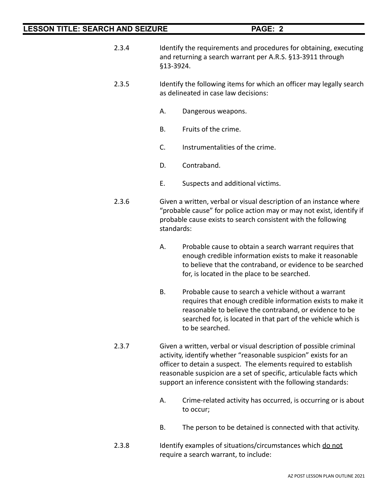- 2.3.4 Identify the requirements and procedures for obtaining, executing and returning a search warrant per A.R.S. §13-3911 through §13-3924.
- 2.3.5 Identify the following items for which an officer may legally search as delineated in case law decisions:
	- A. Dangerous weapons.
	- B. Fruits of the crime.
	- C. Instrumentalities of the crime.
	- D. Contraband.
	- E. Suspects and additional victims.
- 2.3.6 Given a written, verbal or visual description of an instance where "probable cause" for police action may or may not exist, identify if probable cause exists to search consistent with the following standards:
	- A. Probable cause to obtain a search warrant requires that enough credible information exists to make it reasonable to believe that the contraband, or evidence to be searched for, is located in the place to be searched.
	- B. Probable cause to search a vehicle without a warrant requires that enough credible information exists to make it reasonable to believe the contraband, or evidence to be searched for, is located in that part of the vehicle which is to be searched.
- 2.3.7 Given a written, verbal or visual description of possible criminal activity, identify whether "reasonable suspicion" exists for an officer to detain a suspect. The elements required to establish reasonable suspicion are a set of specific, articulable facts which support an inference consistent with the following standards:
	- A. Crime-related activity has occurred, is occurring or is about to occur;
	- B. The person to be detained is connected with that activity.
- 2.3.8 Identify examples of situations/circumstances which do not require a search warrant, to include: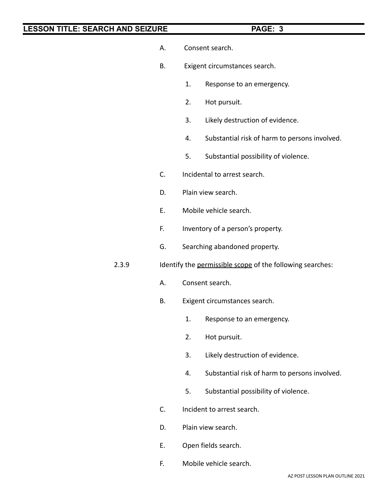- A. Consent search.
- B. Exigent circumstances search.
	- 1. Response to an emergency.
	- 2. Hot pursuit.
	- 3. Likely destruction of evidence.
	- 4. Substantial risk of harm to persons involved.
	- 5. Substantial possibility of violence.
- C. Incidental to arrest search.
- D. Plain view search.
- E. Mobile vehicle search.
- F. Inventory of a person's property.
- G. Searching abandoned property.

#### 2.3.9 Identify the permissible scope of the following searches:

- A. Consent search.
- B. Exigent circumstances search.
	- 1. Response to an emergency.
	- 2. Hot pursuit.
	- 3. Likely destruction of evidence.
	- 4. Substantial risk of harm to persons involved.
	- 5. Substantial possibility of violence.
- C. Incident to arrest search.
- D. Plain view search.
- E. Open fields search.
- F. Mobile vehicle search.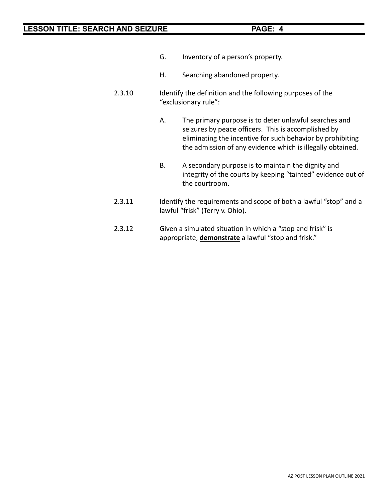- G. Inventory of a person's property.
- H. Searching abandoned property.
- 2.3.10 Identify the definition and the following purposes of the "exclusionary rule":
	- A. The primary purpose is to deter unlawful searches and seizures by peace officers. This is accomplished by eliminating the incentive for such behavior by prohibiting the admission of any evidence which is illegally obtained.
	- B. A secondary purpose is to maintain the dignity and integrity of the courts by keeping "tainted" evidence out of the courtroom.
- 2.3.11 Identify the requirements and scope of both a lawful "stop" and a lawful "frisk" (Terry v. Ohio).
- 2.3.12 Given a simulated situation in which a "stop and frisk" is appropriate, **demonstrate** a lawful "stop and frisk."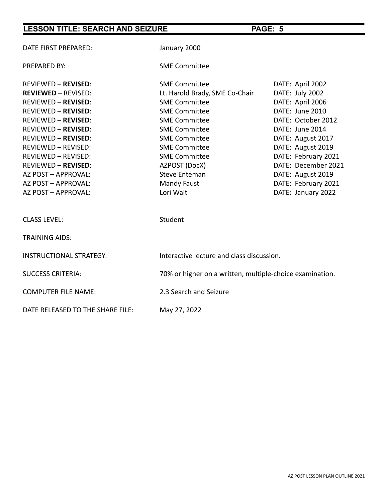| DATE FIRST PREPARED:             | January 2000                                             |                     |
|----------------------------------|----------------------------------------------------------|---------------------|
| <b>PREPARED BY:</b>              | <b>SME Committee</b>                                     |                     |
| <b>REVIEWED - REVISED:</b>       | <b>SME Committee</b>                                     | DATE: April 2002    |
| <b>REVIEWED - REVISED:</b>       | Lt. Harold Brady, SME Co-Chair                           | DATE: July 2002     |
| <b>REVIEWED - REVISED:</b>       | <b>SME Committee</b>                                     | DATE: April 2006    |
| <b>REVIEWED - REVISED:</b>       | <b>SME Committee</b>                                     | DATE: June 2010     |
| <b>REVIEWED - REVISED:</b>       | <b>SME Committee</b>                                     | DATE: October 2012  |
| <b>REVIEWED - REVISED:</b>       | <b>SME Committee</b>                                     | DATE: June 2014     |
| <b>REVIEWED - REVISED:</b>       | <b>SME Committee</b>                                     | DATE: August 2017   |
| REVIEWED - REVISED:              | <b>SME Committee</b>                                     | DATE: August 2019   |
| REVIEWED - REVISED:              | <b>SME Committee</b>                                     | DATE: February 2021 |
| <b>REVIEWED - REVISED:</b>       | AZPOST (DocX)                                            | DATE: December 2021 |
| AZ POST - APPROVAL:              | <b>Steve Enteman</b>                                     | DATE: August 2019   |
| AZ POST - APPROVAL:              | <b>Mandy Faust</b>                                       | DATE: February 2021 |
| AZ POST - APPROVAL:              | Lori Wait                                                | DATE: January 2022  |
| <b>CLASS LEVEL:</b>              | Student                                                  |                     |
| <b>TRAINING AIDS:</b>            |                                                          |                     |
| <b>INSTRUCTIONAL STRATEGY:</b>   | Interactive lecture and class discussion.                |                     |
| <b>SUCCESS CRITERIA:</b>         | 70% or higher on a written, multiple-choice examination. |                     |
| <b>COMPUTER FILE NAME:</b>       | 2.3 Search and Seizure                                   |                     |
| DATE RELEASED TO THE SHARE FILE: | May 27, 2022                                             |                     |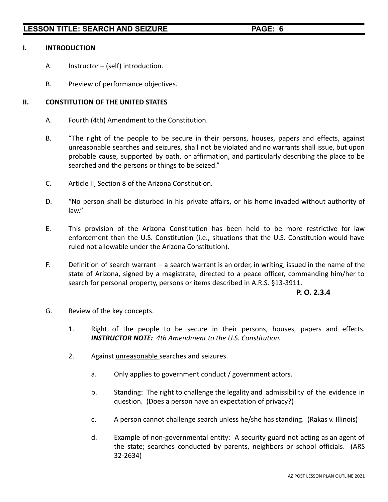#### **I. INTRODUCTION**

- A. Instructor (self) introduction.
- B. Preview of performance objectives.

#### **II. CONSTITUTION OF THE UNITED STATES**

- A. Fourth (4th) Amendment to the Constitution.
- B. "The right of the people to be secure in their persons, houses, papers and effects, against unreasonable searches and seizures, shall not be violated and no warrants shall issue, but upon probable cause, supported by oath, or affirmation, and particularly describing the place to be searched and the persons or things to be seized."
- C. Article II, Section 8 of the Arizona Constitution.
- D. "No person shall be disturbed in his private affairs, or his home invaded without authority of law."
- E. This provision of the Arizona Constitution has been held to be more restrictive for law enforcement than the U.S. Constitution (i.e., situations that the U.S. Constitution would have ruled not allowable under the Arizona Constitution).
- F. Definition of search warrant a search warrant is an order, in writing, issued in the name of the state of Arizona, signed by a magistrate, directed to a peace officer, commanding him/her to search for personal property, persons or items described in A.R.S. §13-3911.

- G. Review of the key concepts.
	- 1. Right of the people to be secure in their persons, houses, papers and effects. *INSTRUCTOR NOTE: 4th Amendment to the U.S. Constitution.*
	- 2. Against unreasonable searches and seizures.
		- a. Only applies to government conduct / government actors.
		- b. Standing: The right to challenge the legality and admissibility of the evidence in question. (Does a person have an expectation of privacy?)
		- c. A person cannot challenge search unless he/she has standing. (Rakas v. Illinois)
		- d. Example of non-governmental entity: A security guard not acting as an agent of the state; searches conducted by parents, neighbors or school officials. (ARS 32-2634)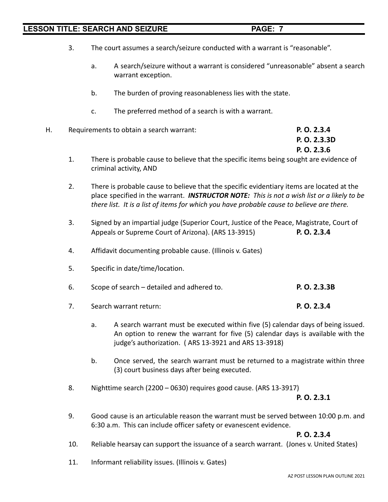# **LESSON TITLE: SEARCH AND SEIZURE PAGE: 7** 3. The court assumes a search/seizure conducted with a warrant is "reasonable".

- a. A search/seizure without a warrant is considered "unreasonable" absent a search warrant exception.
- b. The burden of proving reasonableness lies with the state.
- c. The preferred method of a search is with a warrant.
- H. Requirements to obtain a search warrant: **P. O. 2.3.4**
	- **P. O. 2.3.3D P. O. 2.3.6**
	- 1. There is probable cause to believe that the specific items being sought are evidence of criminal activity, AND
	- 2. There is probable cause to believe that the specific evidentiary items are located at the place specified in the warrant. *INSTRUCTOR NOTE: This is not a wish list or a likely to be there list. It is a list of items for which you have probable cause to believe are there.*
	- 3. Signed by an impartial judge (Superior Court, Justice of the Peace, Magistrate, Court of Appeals or Supreme Court of Arizona). (ARS 13-3915) **P. O. 2.3.4**
	- 4. Affidavit documenting probable cause. (Illinois v. Gates)
	- 5. Specific in date/time/location.
	- 6. Scope of search detailed and adhered to. **P. O. 2.3.3B**
	- 7. Search warrant return: **P. O. 2.3.4**
		- a. A search warrant must be executed within five (5) calendar days of being issued. An option to renew the warrant for five (5) calendar days is available with the judge's authorization. ( ARS 13-3921 and ARS 13-3918)
		- b. Once served, the search warrant must be returned to a magistrate within three (3) court business days after being executed.
	- 8. Nighttime search (2200 0630) requires good cause. (ARS 13-3917)

**P. O. 2.3.1**

9. Good cause is an articulable reason the warrant must be served between 10:00 p.m. and 6:30 a.m. This can include officer safety or evanescent evidence.

- 10. Reliable hearsay can support the issuance of a search warrant. (Jones v. United States)
- 11. Informant reliability issues. (Illinois v. Gates)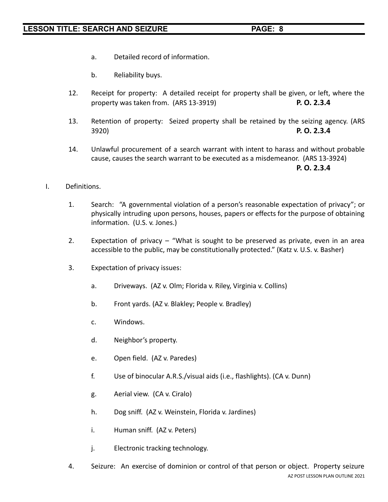- a. Detailed record of information.
- b. Reliability buys.
- 12. Receipt for property: A detailed receipt for property shall be given, or left, where the property was taken from. (ARS 13-3919) **P. O. 2.3.4**
- 13. Retention of property: Seized property shall be retained by the seizing agency. (ARS 3920) **P. O. 2.3.4**
- 14. Unlawful procurement of a search warrant with intent to harass and without probable cause, causes the search warrant to be executed as a misdemeanor. (ARS 13-3924)

- I. Definitions.
	- 1. Search: "A governmental violation of a person's reasonable expectation of privacy"; or physically intruding upon persons, houses, papers or effects for the purpose of obtaining information. (U.S. v. Jones.)
	- 2. Expectation of privacy "What is sought to be preserved as private, even in an area accessible to the public, may be constitutionally protected." (Katz v. U.S. v. Basher)
	- 3. Expectation of privacy issues:
		- a. Driveways. (AZ v. Olm; Florida v. Riley, Virginia v. Collins)
		- b. Front yards. (AZ v. Blakley; People v. Bradley)
		- c. Windows.
		- d. Neighbor's property.
		- e. Open field. (AZ v. Paredes)
		- f. Use of binocular A.R.S./visual aids (i.e., flashlights). (CA v. Dunn)
		- g. Aerial view. (CA v. Ciralo)
		- h. Dog sniff. (AZ v. Weinstein, Florida v. Jardines)
		- i. Human sniff. (AZ v. Peters)
		- j. Electronic tracking technology.
	- 4. Seizure: An exercise of dominion or control of that person or object. Property seizure AZ POST LESSON PLAN OUTLINE 2021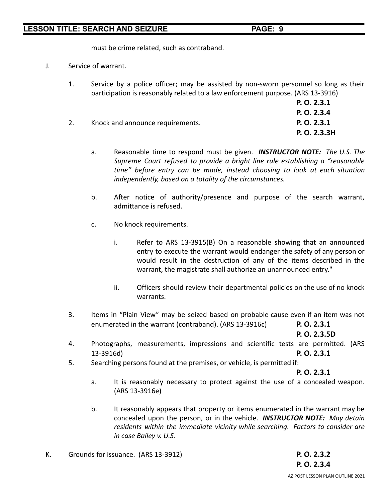must be crime related, such as contraband.

- J. Service of warrant.
	- 1. Service by a police officer; may be assisted by non-sworn personnel so long as their participation is reasonably related to a law enforcement purpose. (ARS 13-3916)

|    |                                  | P. O. 2.3.1  |
|----|----------------------------------|--------------|
|    |                                  | P. O. 2.3.4  |
| 2. | Knock and announce requirements. | P. O. 2.3.1  |
|    |                                  | P. O. 2.3.3H |

- a. Reasonable time to respond must be given. *INSTRUCTOR NOTE: The U.S. The Supreme Court refused to provide a bright line rule establishing a "reasonable time" before entry can be made, instead choosing to look at each situation independently, based on a totality of the circumstances.*
- b. After notice of authority/presence and purpose of the search warrant, admittance is refused.
- c. No knock requirements.
	- i. Refer to ARS 13-3915(B) On a reasonable showing that an announced entry to execute the warrant would endanger the safety of any person or would result in the destruction of any of the items described in the warrant, the magistrate shall authorize an unannounced entry."
	- ii. Officers should review their departmental policies on the use of no knock warrants.
- 3. Items in "Plain View" may be seized based on probable cause even if an item was not enumerated in the warrant (contraband). (ARS 13-3916c) **P. O. 2.3.1**

**P. O. 2.3.5D**

- 4. Photographs, measurements, impressions and scientific tests are permitted. (ARS 13-3916d) **P. O. 2.3.1**
- 5. Searching persons found at the premises, or vehicle, is permitted if:

- a. It is reasonably necessary to protect against the use of a concealed weapon. (ARS 13-3916e)
- b. It reasonably appears that property or items enumerated in the warrant may be concealed upon the person, or in the vehicle. *INSTRUCTOR NOTE: May detain residents within the immediate vicinity while searching. Factors to consider are in case Bailey v. U.S.*
- K. Grounds for issuance. (ARS 13-3912) **P. O. 2.3.2**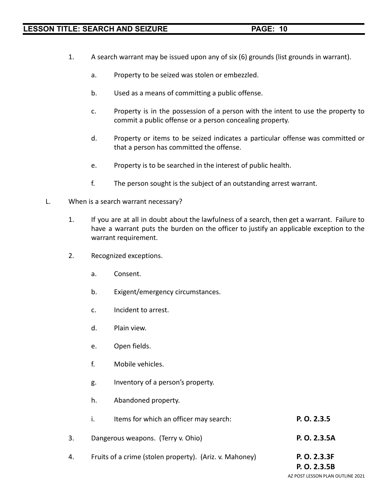- 1. A search warrant may be issued upon any of six (6) grounds (list grounds in warrant).
	- a. Property to be seized was stolen or embezzled.
	- b. Used as a means of committing a public offense.
	- c. Property is in the possession of a person with the intent to use the property to commit a public offense or a person concealing property.
	- d. Property or items to be seized indicates a particular offense was committed or that a person has committed the offense.
	- e. Property is to be searched in the interest of public health.
	- f. The person sought is the subject of an outstanding arrest warrant.
- L. When is a search warrant necessary?
	- 1. If you are at all in doubt about the lawfulness of a search, then get a warrant. Failure to have a warrant puts the burden on the officer to justify an applicable exception to the warrant requirement.
	- 2. Recognized exceptions.
		- a. Consent.
		- b. Exigent/emergency circumstances.
		- c. Incident to arrest.
		- d. Plain view.
		- e. Open fields.
		- f. Mobile vehicles.
		- g. Inventory of a person's property.
		- h. Abandoned property.

|    | Items for which an officer may search:                  | P. O. 2.3.5                      |
|----|---------------------------------------------------------|----------------------------------|
| 3. | Dangerous weapons. (Terry v. Ohio)                      | P. O. 2.3.5A                     |
| 4. | Fruits of a crime (stolen property). (Ariz. v. Mahoney) | P. O. 2.3.3F                     |
|    |                                                         | P. O. 2.3.5B                     |
|    |                                                         | AZ POST LESSON PLAN OUTLINE 2021 |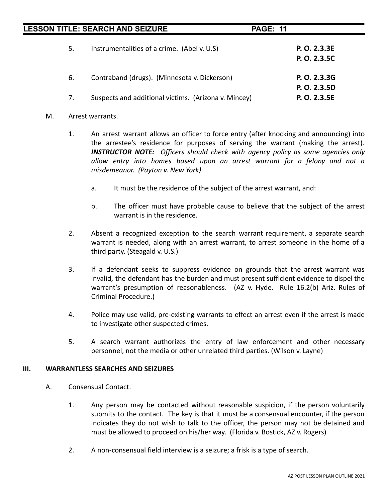|    | <b>LESSON TITLE: SEARCH AND SEIZURE</b>              | <b>PAGE: 11</b>              |  |
|----|------------------------------------------------------|------------------------------|--|
| 5. | Instrumentalities of a crime. (Abel v. U.S)          | P. O. 2.3.3E<br>P. O. 2.3.5C |  |
| 6. | Contraband (drugs). (Minnesota v. Dickerson)         | P. O. 2.3.3G<br>P. O. 2.3.5D |  |
| 7. | Suspects and additional victims. (Arizona v. Mincey) | P. O. 2.3.5E                 |  |

#### M. Arrest warrants.

- 1. An arrest warrant allows an officer to force entry (after knocking and announcing) into the arrestee's residence for purposes of serving the warrant (making the arrest). *INSTRUCTOR NOTE: Officers should check with agency policy as some agencies only allow entry into homes based upon an arrest warrant for a felony and not a misdemeanor. (Payton v. New York)*
	- a. It must be the residence of the subject of the arrest warrant, and:
	- b. The officer must have probable cause to believe that the subject of the arrest warrant is in the residence.
- 2. Absent a recognized exception to the search warrant requirement, a separate search warrant is needed, along with an arrest warrant, to arrest someone in the home of a third party. (Steagald v. U.S.)
- 3. If a defendant seeks to suppress evidence on grounds that the arrest warrant was invalid, the defendant has the burden and must present sufficient evidence to dispel the warrant's presumption of reasonableness. (AZ v. Hyde. Rule 16.2(b) Ariz. Rules of Criminal Procedure.)
- 4. Police may use valid, pre-existing warrants to effect an arrest even if the arrest is made to investigate other suspected crimes.
- 5. A search warrant authorizes the entry of law enforcement and other necessary personnel, not the media or other unrelated third parties. (Wilson v. Layne)

#### **III. WARRANTLESS SEARCHES AND SEIZURES**

- A. Consensual Contact.
	- 1. Any person may be contacted without reasonable suspicion, if the person voluntarily submits to the contact. The key is that it must be a consensual encounter, if the person indicates they do not wish to talk to the officer, the person may not be detained and must be allowed to proceed on his/her way. (Florida v. Bostick, AZ v. Rogers)
	- 2. A non-consensual field interview is a seizure; a frisk is a type of search.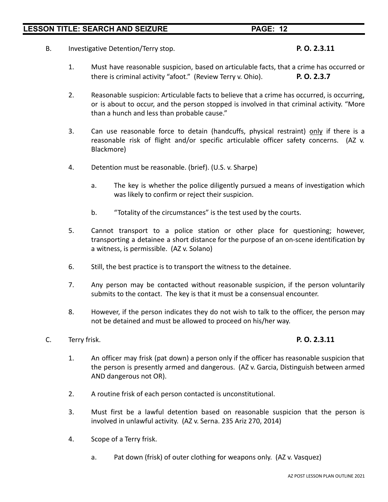B. Investigative Detention/Terry stop. **P. O. 2.3.11**

- 1. Must have reasonable suspicion, based on articulable facts, that a crime has occurred or there is criminal activity "afoot." (Review Terry v. Ohio). **P. O. 2.3.7**
- 2. Reasonable suspicion: Articulable facts to believe that a crime has occurred, is occurring, or is about to occur, and the person stopped is involved in that criminal activity. "More than a hunch and less than probable cause."
- 3. Can use reasonable force to detain (handcuffs, physical restraint) only if there is a reasonable risk of flight and/or specific articulable officer safety concerns. (AZ v. Blackmore)
- 4. Detention must be reasonable. (brief). (U.S. v. Sharpe)
	- a. The key is whether the police diligently pursued a means of investigation which was likely to confirm or reject their suspicion.
	- b. "Totality of the circumstances" is the test used by the courts.
- 5. Cannot transport to a police station or other place for questioning; however, transporting a detainee a short distance for the purpose of an on-scene identification by a witness, is permissible. (AZ v. Solano)
- 6. Still, the best practice is to transport the witness to the detainee.
- 7. Any person may be contacted without reasonable suspicion, if the person voluntarily submits to the contact. The key is that it must be a consensual encounter.
- 8. However, if the person indicates they do not wish to talk to the officer, the person may not be detained and must be allowed to proceed on his/her way.

#### C. Terry frisk. **P. O. 2.3.11**

- 1. An officer may frisk (pat down) a person only if the officer has reasonable suspicion that the person is presently armed and dangerous. (AZ v. Garcia, Distinguish between armed AND dangerous not OR).
- 2. A routine frisk of each person contacted is unconstitutional.
- 3. Must first be a lawful detention based on reasonable suspicion that the person is involved in unlawful activity. (AZ v. Serna. 235 Ariz 270, 2014)
- 4. Scope of a Terry frisk.
	- a. Pat down (frisk) of outer clothing for weapons only. (AZ v. Vasquez)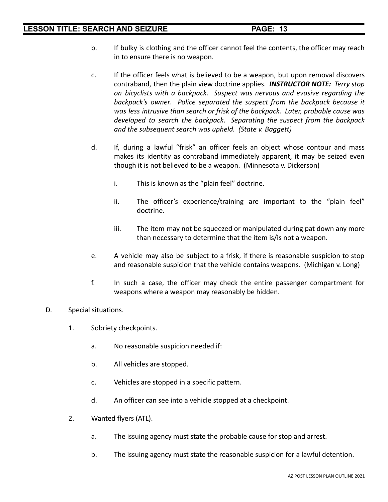- b. If bulky is clothing and the officer cannot feel the contents, the officer may reach in to ensure there is no weapon.
- c. If the officer feels what is believed to be a weapon, but upon removal discovers contraband, then the plain view doctrine applies. *INSTRUCTOR NOTE: Terry stop on bicyclists with a backpack. Suspect was nervous and evasive regarding the backpack's owner. Police separated the suspect from the backpack because it was less intrusive than search or frisk of the backpack. Later, probable cause was developed to search the backpack. Separating the suspect from the backpack and the subsequent search was upheld. (State v. Baggett)*
- d. If, during a lawful "frisk" an officer feels an object whose contour and mass makes its identity as contraband immediately apparent, it may be seized even though it is not believed to be a weapon. (Minnesota v. Dickerson)
	- i. This is known as the "plain feel" doctrine.
	- ii. The officer's experience/training are important to the "plain feel" doctrine.
	- iii. The item may not be squeezed or manipulated during pat down any more than necessary to determine that the item is/is not a weapon.
- e. A vehicle may also be subject to a frisk, if there is reasonable suspicion to stop and reasonable suspicion that the vehicle contains weapons. (Michigan v. Long)
- f. In such a case, the officer may check the entire passenger compartment for weapons where a weapon may reasonably be hidden.
- D. Special situations.
	- 1. Sobriety checkpoints.
		- a. No reasonable suspicion needed if:
		- b. All vehicles are stopped.
		- c. Vehicles are stopped in a specific pattern.
		- d. An officer can see into a vehicle stopped at a checkpoint.
	- 2. Wanted flyers (ATL).
		- a. The issuing agency must state the probable cause for stop and arrest.
		- b. The issuing agency must state the reasonable suspicion for a lawful detention.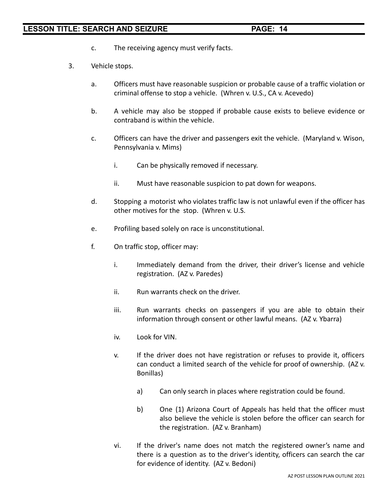- c. The receiving agency must verify facts.
- 3. Vehicle stops.
	- a. Officers must have reasonable suspicion or probable cause of a traffic violation or criminal offense to stop a vehicle. (Whren v. U.S., CA v. Acevedo)
	- b. A vehicle may also be stopped if probable cause exists to believe evidence or contraband is within the vehicle.
	- c. Officers can have the driver and passengers exit the vehicle. (Maryland v. Wison, Pennsylvania v. Mims)
		- i. Can be physically removed if necessary.
		- ii. Must have reasonable suspicion to pat down for weapons.
	- d. Stopping a motorist who violates traffic law is not unlawful even if the officer has other motives for the stop. (Whren v. U.S.
	- e. Profiling based solely on race is unconstitutional.
	- f. On traffic stop, officer may:
		- i. Immediately demand from the driver, their driver's license and vehicle registration. (AZ v. Paredes)
		- ii. Bun warrants check on the driver.
		- iii. Run warrants checks on passengers if you are able to obtain their information through consent or other lawful means. (AZ v. Ybarra)
		- iv. Look for VIN.
		- v. If the driver does not have registration or refuses to provide it, officers can conduct a limited search of the vehicle for proof of ownership. (AZ v. Bonillas)
			- a) Can only search in places where registration could be found.
			- b) One (1) Arizona Court of Appeals has held that the officer must also believe the vehicle is stolen before the officer can search for the registration. (AZ v. Branham)
		- vi. If the driver's name does not match the registered owner's name and there is a question as to the driver's identity, officers can search the car for evidence of identity. (AZ v. Bedoni)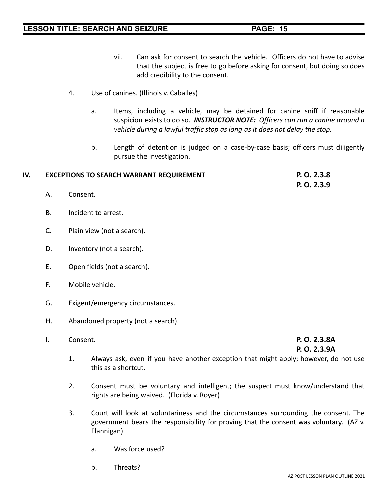- vii. Can ask for consent to search the vehicle. Officers do not have to advise that the subject is free to go before asking for consent, but doing so does add credibility to the consent.
- 4. Use of canines. (Illinois v. Caballes)
	- a. Items, including a vehicle, may be detained for canine sniff if reasonable suspicion exists to do so. *INSTRUCTOR NOTE: Officers can run a canine around a vehicle during a lawful traffic stop as long as it does not delay the stop.*
	- b. Length of detention is judged on a case-by-case basis; officers must diligently pursue the investigation.

| IV. | <b>EXCEPTIONS TO SEARCH WARRANT REQUIREMENT</b> | P. O. 2.3.8 |
|-----|-------------------------------------------------|-------------|
|     |                                                 | P. O. 2.3.9 |

- A. Consent.
- B. Incident to arrest.
- C. Plain view (not a search).
- D. Inventory (not a search).
- E. Open fields (not a search).
- F. Mobile vehicle.
- G. Exigent/emergency circumstances.
- H. Abandoned property (not a search).
- I. Consent. **P. O. 2.3.8A**

- 1. Always ask, even if you have another exception that might apply; however, do not use this as a shortcut.
- 2. Consent must be voluntary and intelligent; the suspect must know/understand that rights are being waived. (Florida v. Royer)
- 3. Court will look at voluntariness and the circumstances surrounding the consent. The government bears the responsibility for proving that the consent was voluntary. (AZ v. Flannigan)
	- a. Was force used?
	- b. Threats?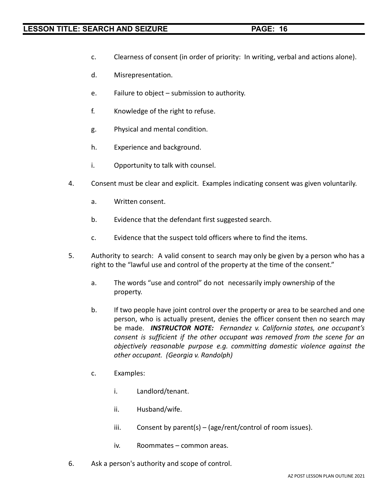- c. Clearness of consent (in order of priority: In writing, verbal and actions alone).
- d. Misrepresentation.
- e. Failure to object submission to authority.
- f. Knowledge of the right to refuse.
- g. Physical and mental condition.
- h. Experience and background.
- i. Opportunity to talk with counsel.
- 4. Consent must be clear and explicit. Examples indicating consent was given voluntarily.
	- a. Written consent.
	- b. Evidence that the defendant first suggested search.
	- c. Evidence that the suspect told officers where to find the items.
- 5. Authority to search: A valid consent to search may only be given by a person who has a right to the "lawful use and control of the property at the time of the consent."
	- a. The words "use and control" do not necessarily imply ownership of the property.
	- b. If two people have joint control over the property or area to be searched and one person, who is actually present, denies the officer consent then no search may be made. *INSTRUCTOR NOTE: Fernandez v. California states, one occupant's consent is sufficient if the other occupant was removed from the scene for an objectively reasonable purpose e.g. committing domestic violence against the other occupant. (Georgia v. Randolph)*
	- c. Examples:
		- i. Landlord/tenant.
		- ii. Husband/wife.
		- iii. Consent by parent(s) (age/rent/control of room issues).
		- iv. Roommates common areas.
- 6. Ask a person's authority and scope of control.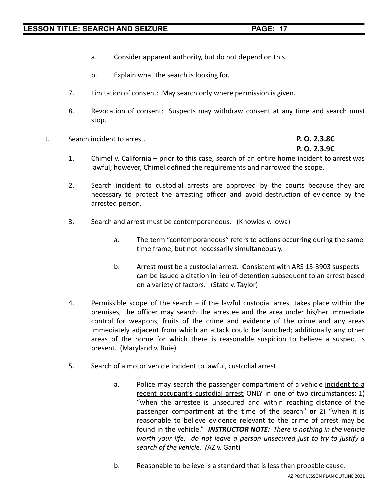- a. Consider apparent authority, but do not depend on this.
- b. Explain what the search is looking for.
- 7. Limitation of consent: May search only where permission is given.
- 8. Revocation of consent: Suspects may withdraw consent at any time and search must stop.
- J. Search incident to arrest. **P. O. 2.3.8C**

- 1. Chimel v. California prior to this case, search of an entire home incident to arrest was lawful; however, Chimel defined the requirements and narrowed the scope.
- 2. Search incident to custodial arrests are approved by the courts because they are necessary to protect the arresting officer and avoid destruction of evidence by the arrested person.
- 3. Search and arrest must be contemporaneous. (Knowles v. Iowa)
	- a. The term "contemporaneous" refers to actions occurring during the same time frame, but not necessarily simultaneously.
	- b. Arrest must be a custodial arrest. Consistent with ARS 13-3903 suspects can be issued a citation in lieu of detention subsequent to an arrest based on a variety of factors. (State v. Taylor)
- 4. Permissible scope of the search if the lawful custodial arrest takes place within the premises, the officer may search the arrestee and the area under his/her immediate control for weapons, fruits of the crime and evidence of the crime and any areas immediately adjacent from which an attack could be launched; additionally any other areas of the home for which there is reasonable suspicion to believe a suspect is present. (Maryland v. Buie)
- 5. Search of a motor vehicle incident to lawful, custodial arrest.
	- a. Police may search the passenger compartment of a vehicle incident to a recent occupant's custodial arrest ONLY in one of two circumstances: 1) "when the arrestee is unsecured and within reaching distance of the passenger compartment at the time of the search" **or** 2) "when it is reasonable to believe evidence relevant to the crime of arrest may be found in the vehicle." *INSTRUCTOR NOTE: There is nothing in the vehicle worth your life: do not leave a person unsecured just to try to justify a search of the vehicle. (*AZ v. Gant)
	- b. Reasonable to believe is a standard that is less than probable cause.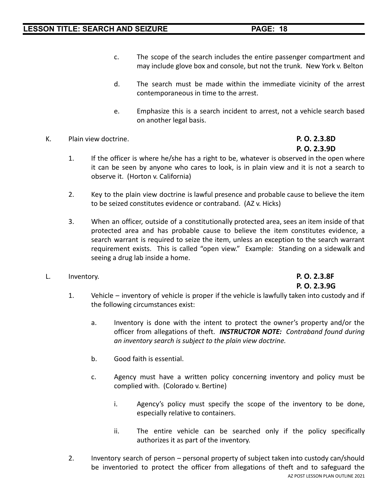- c. The scope of the search includes the entire passenger compartment and may include glove box and console, but not the trunk. New York v. Belton
- d. The search must be made within the immediate vicinity of the arrest contemporaneous in time to the arrest.
- e. Emphasize this is a search incident to arrest, not a vehicle search based on another legal basis.
- K. Plain view doctrine. **P. O. 2.3.8D**

# **P. O. 2.3.9D**

- 1. If the officer is where he/she has a right to be, whatever is observed in the open where it can be seen by anyone who cares to look, is in plain view and it is not a search to observe it. (Horton v. California)
- 2. Key to the plain view doctrine is lawful presence and probable cause to believe the item to be seized constitutes evidence or contraband. (AZ v. Hicks)
- 3. When an officer, outside of a constitutionally protected area, sees an item inside of that protected area and has probable cause to believe the item constitutes evidence, a search warrant is required to seize the item, unless an exception to the search warrant requirement exists. This is called "open view." Example: Standing on a sidewalk and seeing a drug lab inside a home.
- L. Inventory. **P. O. 2.3.8F**

- 1. Vehicle inventory of vehicle is proper if the vehicle is lawfully taken into custody and if the following circumstances exist:
	- a. Inventory is done with the intent to protect the owner's property and/or the officer from allegations of theft. *INSTRUCTOR NOTE: Contraband found during an inventory search is subject to the plain view doctrine.*
	- b. Good faith is essential.
	- c. Agency must have a written policy concerning inventory and policy must be complied with. (Colorado v. Bertine)
		- i. Agency's policy must specify the scope of the inventory to be done, especially relative to containers.
		- ii. The entire vehicle can be searched only if the policy specifically authorizes it as part of the inventory.
- 2. Inventory search of person personal property of subject taken into custody can/should be inventoried to protect the officer from allegations of theft and to safeguard the AZ POST LESSON PLAN OUTLINE 2021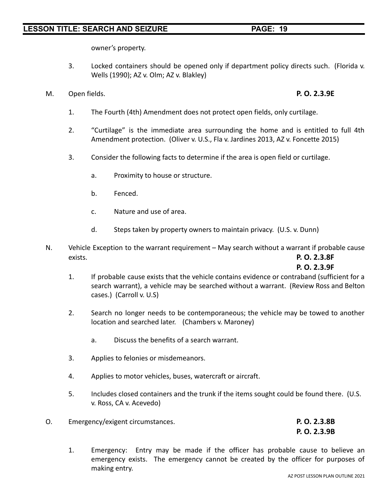owner's property.

- 3. Locked containers should be opened only if department policy directs such. (Florida v. Wells (1990); AZ v. Olm; AZ v. Blakley)
- M. Open fields. **P. O. 2.3.9E**

- 1. The Fourth (4th) Amendment does not protect open fields, only curtilage.
- 2. "Curtilage" is the immediate area surrounding the home and is entitled to full 4th Amendment protection. (Oliver v. U.S., Fla v. Jardines 2013, AZ v. Foncette 2015)
- 3. Consider the following facts to determine if the area is open field or curtilage.
	- a. Proximity to house or structure.
	- b. Fenced.
	- c. Nature and use of area.
	- d. Steps taken by property owners to maintain privacy. (U.S. v. Dunn)
- N. Vehicle Exception to the warrant requirement May search without a warrant if probable cause exists. **P. O. 2.3.8F**

**P. O. 2.3.9F**

- 1. If probable cause exists that the vehicle contains evidence or contraband (sufficient for a search warrant), a vehicle may be searched without a warrant. (Review Ross and Belton cases.) (Carroll v. U.S)
- 2. Search no longer needs to be contemporaneous; the vehicle may be towed to another location and searched later. (Chambers v. Maroney)
	- a. Discuss the benefits of a search warrant.
- 3. Applies to felonies or misdemeanors.
- 4. Applies to motor vehicles, buses, watercraft or aircraft.
- 5. Includes closed containers and the trunk if the items sought could be found there. (U.S. v. Ross, CA v. Acevedo)
- O. Emergency/exigent circumstances. **P. O. 2.3.8B**

**P. O. 2.3.9B**

1. Emergency: Entry may be made if the officer has probable cause to believe an emergency exists. The emergency cannot be created by the officer for purposes of making entry.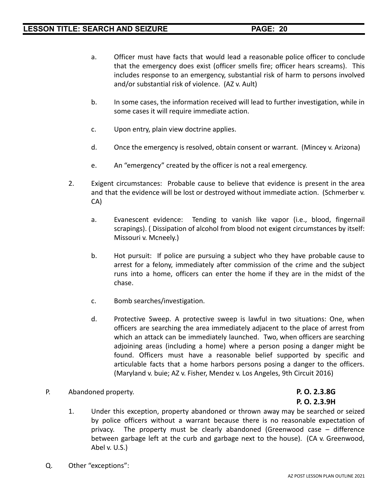- a. Officer must have facts that would lead a reasonable police officer to conclude that the emergency does exist (officer smells fire; officer hears screams). This includes response to an emergency, substantial risk of harm to persons involved and/or substantial risk of violence. (AZ v. Ault)
- b. In some cases, the information received will lead to further investigation, while in some cases it will require immediate action.
- c. Upon entry, plain view doctrine applies.
- d. Once the emergency is resolved, obtain consent or warrant. (Mincey v. Arizona)
- e. An "emergency" created by the officer is not a real emergency.
- 2. Exigent circumstances: Probable cause to believe that evidence is present in the area and that the evidence will be lost or destroyed without immediate action. (Schmerber v. CA)
	- a. Evanescent evidence: Tending to vanish like vapor (i.e., blood, fingernail scrapings). ( Dissipation of alcohol from blood not exigent circumstances by itself: Missouri v. Mcneely.)
	- b. Hot pursuit: If police are pursuing a subject who they have probable cause to arrest for a felony, immediately after commission of the crime and the subject runs into a home, officers can enter the home if they are in the midst of the chase.
	- c. Bomb searches/investigation.
	- d. Protective Sweep. A protective sweep is lawful in two situations: One, when officers are searching the area immediately adjacent to the place of arrest from which an attack can be immediately launched. Two, when officers are searching adjoining areas (including a home) where a person posing a danger might be found. Officers must have a reasonable belief supported by specific and articulable facts that a home harbors persons posing a danger to the officers. (Maryland v. buie; AZ v. Fisher, Mendez v. Los Angeles, 9th Circuit 2016)
- P. Abandoned property. **P. O. 2.3.8G**

- 1. Under this exception, property abandoned or thrown away may be searched or seized by police officers without a warrant because there is no reasonable expectation of privacy. The property must be clearly abandoned (Greenwood case – difference between garbage left at the curb and garbage next to the house). (CA v. Greenwood, Abel v. U.S.)
- Q. Other "exceptions":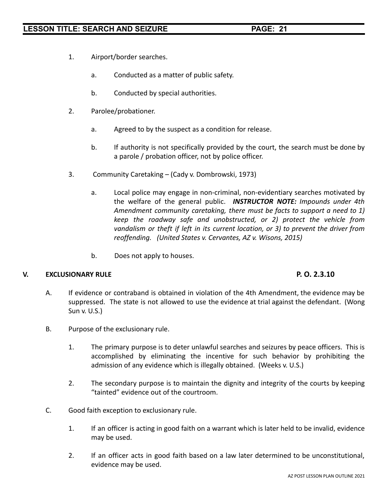- 1. Airport/border searches.
	- a. Conducted as a matter of public safety.
	- b. Conducted by special authorities.
- 2. Parolee/probationer.
	- a. Agreed to by the suspect as a condition for release.
	- b. If authority is not specifically provided by the court, the search must be done by a parole / probation officer, not by police officer.
- 3. Community Caretaking (Cady v. Dombrowski, 1973)
	- a. Local police may engage in non-criminal, non-evidentiary searches motivated by the welfare of the general public. *INSTRUCTOR NOTE: Impounds under 4th Amendment community caretaking, there must be facts to support a need to 1) keep the roadway safe and unobstructed, or 2) protect the vehicle from vandalism or theft if left in its current location, or 3) to prevent the driver from reoffending. (United States v. Cervantes, AZ v. Wisons, 2015)*
	- b. Does not apply to houses.

#### **V. EXCLUSIONARY RULE P. O. 2.3.10**

- A. If evidence or contraband is obtained in violation of the 4th Amendment, the evidence may be suppressed. The state is not allowed to use the evidence at trial against the defendant. (Wong Sun v. U.S.)
- B. Purpose of the exclusionary rule.
	- 1. The primary purpose is to deter unlawful searches and seizures by peace officers. This is accomplished by eliminating the incentive for such behavior by prohibiting the admission of any evidence which is illegally obtained. (Weeks v. U.S.)
	- 2. The secondary purpose is to maintain the dignity and integrity of the courts by keeping "tainted" evidence out of the courtroom.
- C. Good faith exception to exclusionary rule.
	- 1. If an officer is acting in good faith on a warrant which is later held to be invalid, evidence may be used.
	- 2. If an officer acts in good faith based on a law later determined to be unconstitutional, evidence may be used.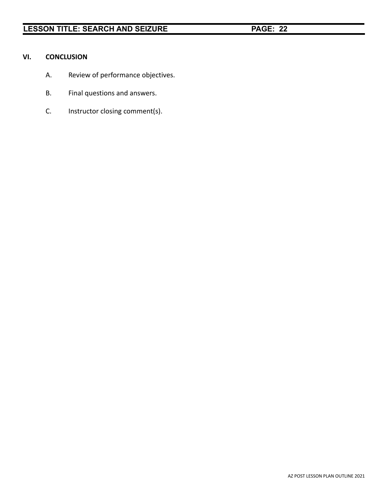### **VI. CONCLUSION**

- A. Review of performance objectives.
- B. Final questions and answers.
- C. Instructor closing comment(s).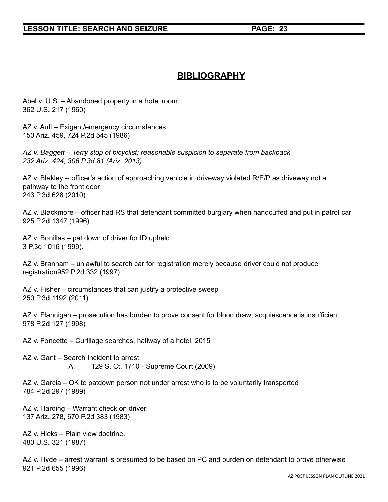# **BIBLIOGRAPHY**

Abel v. U.S. – Abandoned property in a hotel room. 362 U.S. 217 (1960)

AZ v. Ault – Exigent/emergency circumstances. 150 Ariz. 459, 724 P.2d 545 (1986)

*AZ v. Baggett – Terry stop of bicyclist; reasonable suspicion to separate from backpack 232 Ariz. 424, 306 P.3d 81 (Ariz. 2013)*

AZ v. Blakley -- officer's action of approaching vehicle in driveway violated R/E/P as driveway not a pathway to the front door 243 P.3d 628 (2010)

AZ v. Blackmore – officer had RS that defendant committed burglary when handcuffed and put in patrol car 925 P.2d 1347 (1996)

AZ v. Bonillas – pat down of driver for ID upheld 3 P.3d 1016 (1999).

AZ v. Branham – unlawful to search car for registration merely because driver could not produce registration952 P.2d 332 (1997)

AZ v. Fisher – circumstances that can justify a protective sweep 250 P.3d 1192 (2011)

AZ v. Flannigan – prosecution has burden to prove consent for blood draw; acquiescence is insufficient 978 P.2d 127 (1998)

AZ v. Foncette – Curtilage searches, hallway of a hotel. 2015

AZ v. Gant – Search Incident to arrest. A. 129 S. Ct. 1710 - Supreme Court (2009)

AZ v. Garcia – OK to patdown person not under arrest who is to be voluntarily transported 784 P.2d 297 (1989)

AZ v. Harding – Warrant check on driver. 137 Ariz. 278, 670 P.2d 383 (1983)

AZ v. Hicks – Plain view doctrine. 480 U.S. 321 (1987)

AZ v. Hyde – arrest warrant is presumed to be based on PC and burden on defendant to prove otherwise 921 P.2d 655 (1996)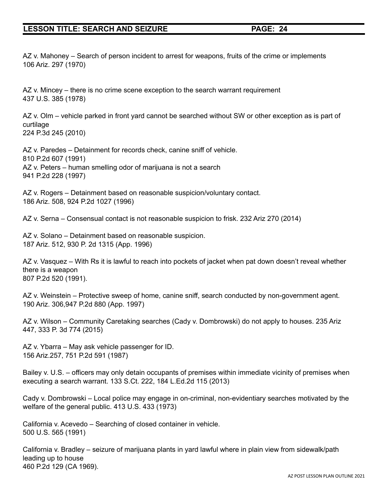AZ v. Mahoney – Search of person incident to arrest for weapons, fruits of the crime or implements 106 Ariz. 297 (1970)

AZ v. Mincey – there is no crime scene exception to the search warrant requirement 437 U.S. 385 (1978)

AZ v. Olm – vehicle parked in front yard cannot be searched without SW or other exception as is part of curtilage 224 P.3d 245 (2010)

AZ v. Paredes – Detainment for records check, canine sniff of vehicle. 810 P.2d 607 (1991) AZ v. Peters – human smelling odor of marijuana is not a search 941 P.2d 228 (1997)

AZ v. Rogers – Detainment based on reasonable suspicion/voluntary contact. 186 Ariz. 508, 924 P.2d 1027 (1996)

AZ v. Serna – Consensual contact is not reasonable suspicion to frisk. 232 Ariz 270 (2014)

AZ v. Solano – Detainment based on reasonable suspicion. 187 Ariz. 512, 930 P. 2d 1315 (App. 1996)

AZ v. Vasquez – With Rs it is lawful to reach into pockets of jacket when pat down doesn't reveal whether there is a weapon 807 P.2d 520 (1991).

AZ v. Weinstein – Protective sweep of home, canine sniff, search conducted by non-government agent. 190 Ariz. 306,947 P.2d 880 (App. 1997)

AZ v. Wilson – Community Caretaking searches (Cady v. Dombrowski) do not apply to houses. 235 Ariz 447, 333 P. 3d 774 (2015)

AZ v. Ybarra – May ask vehicle passenger for ID. 156 Ariz.257, 751 P.2d 591 (1987)

Bailey v. U.S. – officers may only detain occupants of premises within immediate vicinity of premises when executing a search warrant. 133 S.Ct. 222, 184 L.Ed.2d 115 (2013)

Cady v. Dombrowski – Local police may engage in on-criminal, non-evidentiary searches motivated by the welfare of the general public. 413 U.S. 433 (1973)

California v. Acevedo – Searching of closed container in vehicle. 500 U.S. 565 (1991)

California v. Bradley – seizure of marijuana plants in yard lawful where in plain view from sidewalk/path leading up to house 460 P.2d 129 (CA 1969).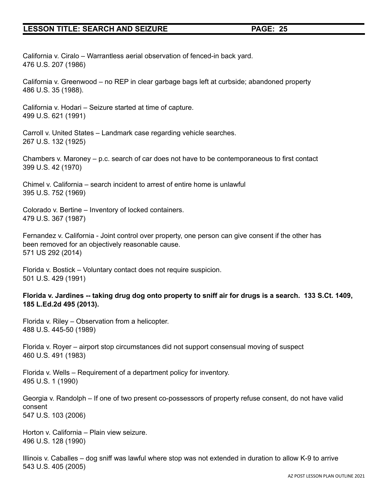California v. Ciralo – Warrantless aerial observation of fenced-in back yard. 476 U.S. 207 (1986)

California v. Greenwood – no REP in clear garbage bags left at curbside; abandoned property 486 U.S. 35 (1988).

California v. Hodari – Seizure started at time of capture. 499 U.S. 621 (1991)

Carroll v. United States – Landmark case regarding vehicle searches. 267 U.S. 132 (1925)

Chambers v. Maroney – p.c. search of car does not have to be contemporaneous to first contact 399 U.S. 42 (1970)

Chimel v. California – search incident to arrest of entire home is unlawful 395 U.S. 752 (1969)

Colorado v. Bertine – Inventory of locked containers. 479 U.S. 367 (1987)

Fernandez v. California - Joint control over property, one person can give consent if the other has been removed for an objectively reasonable cause. 571 US 292 (2014)

Florida v. Bostick – Voluntary contact does not require suspicion. 501 U.S. 429 (1991)

#### Florida v. Jardines -- taking drug dog onto property to sniff air for drugs is a search. 133 S.Ct. 1409, **185 L.Ed.2d 495 (2013).**

Florida v. Riley – Observation from a helicopter. 488 U.S. 445-50 (1989)

Florida v. Royer – airport stop circumstances did not support consensual moving of suspect 460 U.S. 491 (1983)

Florida v. Wells – Requirement of a department policy for inventory. 495 U.S. 1 (1990)

Georgia v. Randolph – If one of two present co-possessors of property refuse consent, do not have valid consent 547 U.S. 103 (2006)

Horton v. California – Plain view seizure. 496 U.S. 128 (1990)

Illinois v. Caballes – dog sniff was lawful where stop was not extended in duration to allow K-9 to arrive 543 U.S. 405 (2005)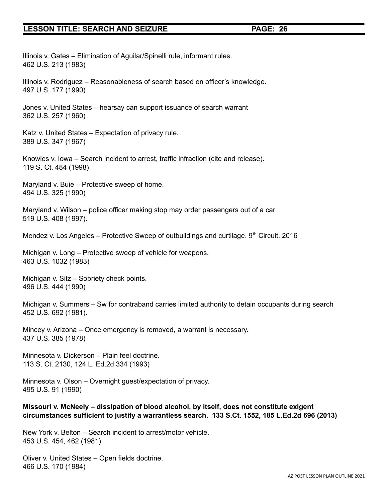Illinois v. Gates – Elimination of Aguilar/Spinelli rule, informant rules. 462 U.S. 213 (1983)

Illinois v. Rodriguez – Reasonableness of search based on officer's knowledge. 497 U.S. 177 (1990)

Jones v. United States – hearsay can support issuance of search warrant 362 U.S. 257 (1960)

Katz v. United States – Expectation of privacy rule. 389 U.S. 347 (1967)

Knowles v. Iowa – Search incident to arrest, traffic infraction (cite and release). 119 S. Ct. 484 (1998)

Maryland v. Buie – Protective sweep of home. 494 U.S. 325 (1990)

Maryland v. Wilson – police officer making stop may order passengers out of a car 519 U.S. 408 (1997).

Mendez v. Los Angeles – Protective Sweep of outbuildings and curtilage. 9<sup>th</sup> Circuit. 2016

Michigan v. Long – Protective sweep of vehicle for weapons. 463 U.S. 1032 (1983)

Michigan v. Sitz – Sobriety check points. 496 U.S. 444 (1990)

Michigan v. Summers – Sw for contraband carries limited authority to detain occupants during search 452 U.S. 692 (1981).

Mincey v. Arizona – Once emergency is removed, a warrant is necessary. 437 U.S. 385 (1978)

Minnesota v. Dickerson – Plain feel doctrine. 113 S. Ct. 2130, 124 L. Ed.2d 334 (1993)

Minnesota v. Olson – Overnight guest/expectation of privacy. 495 U.S. 91 (1990)

#### **Missouri v. McNeely – dissipation of blood alcohol, by itself, does not constitute exigent circumstances sufficient to justify a warrantless search. 133 S.Ct. 1552, 185 L.Ed.2d 696 (2013)**

New York v. Belton – Search incident to arrest/motor vehicle. 453 U.S. 454, 462 (1981)

Oliver v. United States – Open fields doctrine. 466 U.S. 170 (1984)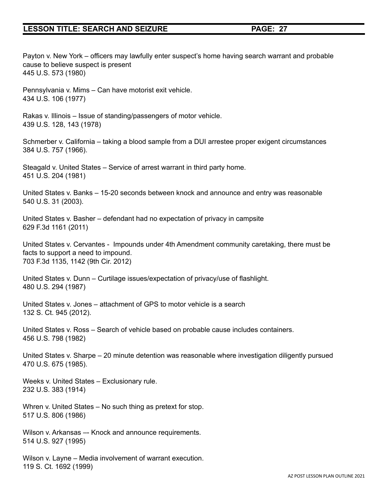Payton v. New York – officers may lawfully enter suspect's home having search warrant and probable cause to believe suspect is present 445 U.S. 573 (1980)

Pennsylvania v. Mims – Can have motorist exit vehicle. 434 U.S. 106 (1977)

Rakas v. Illinois – Issue of standing/passengers of motor vehicle. 439 U.S. 128, 143 (1978)

Schmerber v. California – taking a blood sample from a DUI arrestee proper exigent circumstances 384 U.S. 757 (1966).

Steagald v. United States – Service of arrest warrant in third party home. 451 U.S. 204 (1981)

United States v. Banks – 15-20 seconds between knock and announce and entry was reasonable 540 U.S. 31 (2003).

United States v. Basher – defendant had no expectation of privacy in campsite 629 F.3d 1161 (2011)

United States v. Cervantes - Impounds under 4th Amendment community caretaking, there must be facts to support a need to impound. 703 F.3d 1135, 1142 (9th Cir. 2012)

United States v. Dunn – Curtilage issues/expectation of privacy/use of flashlight. 480 U.S. 294 (1987)

United States v. Jones – attachment of GPS to motor vehicle is a search 132 S. Ct. 945 (2012).

United States v. Ross – Search of vehicle based on probable cause includes containers. 456 U.S. 798 (1982)

United States v. Sharpe – 20 minute detention was reasonable where investigation diligently pursued 470 U.S. 675 (1985).

Weeks v. United States – Exclusionary rule. 232 U.S. 383 (1914)

Whren v. United States – No such thing as pretext for stop. 517 U.S. 806 (1986)

Wilson v. Arkansas -- Knock and announce requirements. 514 U.S. 927 (1995)

Wilson v. Layne – Media involvement of warrant execution. 119 S. Ct. 1692 (1999)